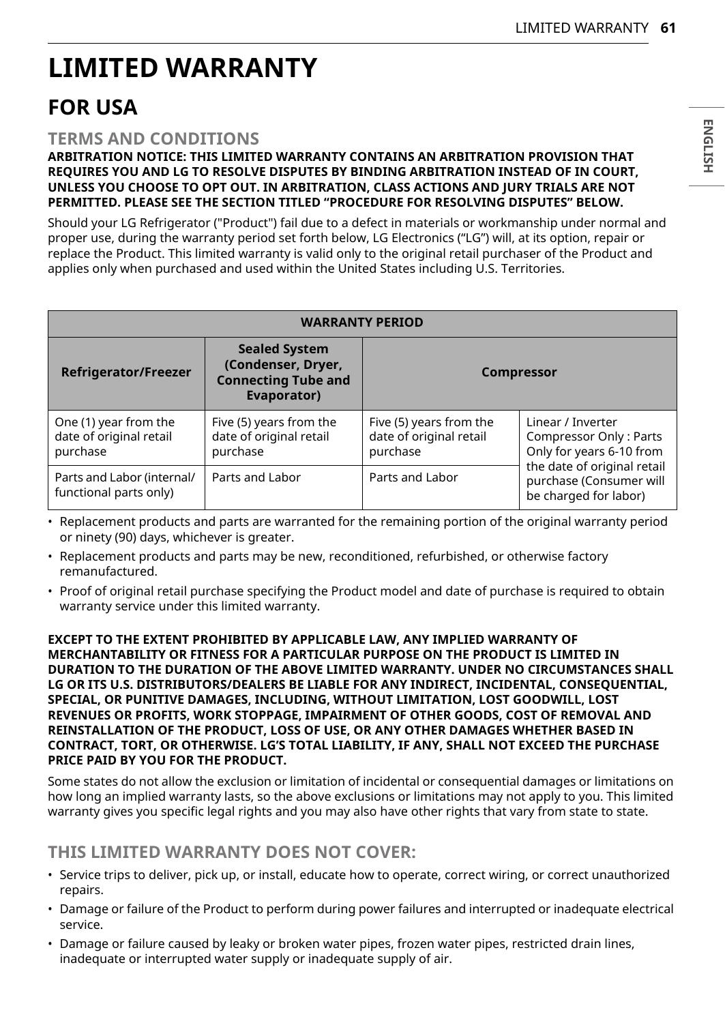# **LIMITED WARRANTY**

## **FOR USA**

#### **TERMS AND CONDITIONS**

#### **ARBITRATION NOTICE: THIS LIMITED WARRANTY CONTAINS AN ARBITRATION PROVISION THAT REQUIRES YOU AND LG TO RESOLVE DISPUTES BY BINDING ARBITRATION INSTEAD OF IN COURT, UNLESS YOU CHOOSE TO OPT OUT. IN ARBITRATION, CLASS ACTIONS AND JURY TRIALS ARE NOT PERMITTED. PLEASE SEE THE SECTION TITLED "PROCEDURE FOR RESOLVING DISPUTES" BELOW.**

Should your LG Refrigerator ("Product") fail due to a defect in materials or workmanship under normal and proper use, during the warranty period set forth below, LG Electronics ("LG") will, at its option, repair or replace the Product. This limited warranty is valid only to the original retail purchaser of the Product and applies only when purchased and used within the United States including U.S. Territories.

| <b>WARRANTY PERIOD</b>                                       |                                                                                         |                                                                |                                                                                                                                                            |
|--------------------------------------------------------------|-----------------------------------------------------------------------------------------|----------------------------------------------------------------|------------------------------------------------------------------------------------------------------------------------------------------------------------|
| <b>Refrigerator/Freezer</b>                                  | <b>Sealed System</b><br>(Condenser, Dryer,<br><b>Connecting Tube and</b><br>Evaporator) | <b>Compressor</b>                                              |                                                                                                                                                            |
| One (1) year from the<br>date of original retail<br>purchase | Five (5) years from the<br>date of original retail<br>purchase                          | Five (5) years from the<br>date of original retail<br>purchase | Linear / Inverter<br>Compressor Only: Parts<br>Only for years 6-10 from<br>the date of original retail<br>purchase (Consumer will<br>be charged for labor) |
| Parts and Labor (internal/<br>functional parts only)         | Parts and Labor                                                                         | Parts and Labor                                                |                                                                                                                                                            |

• Replacement products and parts are warranted for the remaining portion of the original warranty period or ninety (90) days, whichever is greater.

- Replacement products and parts may be new, reconditioned, refurbished, or otherwise factory remanufactured.
- Proof of original retail purchase specifying the Product model and date of purchase is required to obtain warranty service under this limited warranty.

**EXCEPT TO THE EXTENT PROHIBITED BY APPLICABLE LAW, ANY IMPLIED WARRANTY OF MERCHANTABILITY OR FITNESS FOR A PARTICULAR PURPOSE ON THE PRODUCT IS LIMITED IN DURATION TO THE DURATION OF THE ABOVE LIMITED WARRANTY. UNDER NO CIRCUMSTANCES SHALL LG OR ITS U.S. DISTRIBUTORS/DEALERS BE LIABLE FOR ANY INDIRECT, INCIDENTAL, CONSEQUENTIAL, SPECIAL, OR PUNITIVE DAMAGES, INCLUDING, WITHOUT LIMITATION, LOST GOODWILL, LOST REVENUES OR PROFITS, WORK STOPPAGE, IMPAIRMENT OF OTHER GOODS, COST OF REMOVAL AND REINSTALLATION OF THE PRODUCT, LOSS OF USE, OR ANY OTHER DAMAGES WHETHER BASED IN CONTRACT, TORT, OR OTHERWISE. LG'S TOTAL LIABILITY, IF ANY, SHALL NOT EXCEED THE PURCHASE PRICE PAID BY YOU FOR THE PRODUCT.**

Some states do not allow the exclusion or limitation of incidental or consequential damages or limitations on how long an implied warranty lasts, so the above exclusions or limitations may not apply to you. This limited warranty gives you specific legal rights and you may also have other rights that vary from state to state.

#### **THIS LIMITED WARRANTY DOES NOT COVER:**

- Service trips to deliver, pick up, or install, educate how to operate, correct wiring, or correct unauthorized repairs.
- Damage or failure of the Product to perform during power failures and interrupted or inadequate electrical service.
- Damage or failure caused by leaky or broken water pipes, frozen water pipes, restricted drain lines, inadequate or interrupted water supply or inadequate supply of air.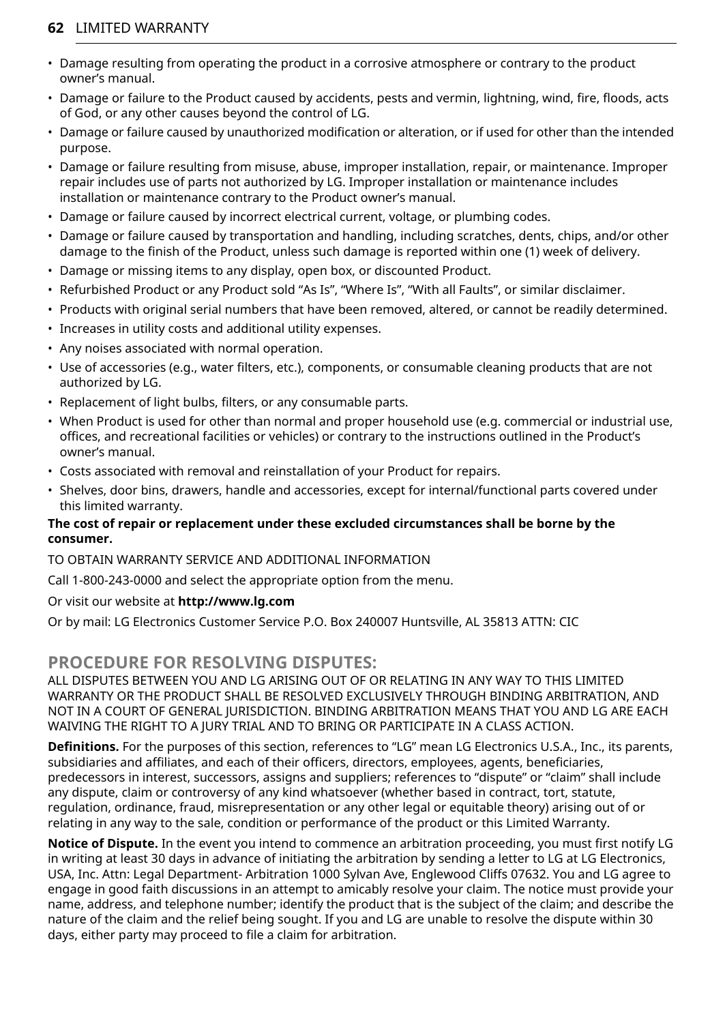#### **62** LIMITED WARRANTY

- Damage resulting from operating the product in a corrosive atmosphere or contrary to the product owner's manual.
- Damage or failure to the Product caused by accidents, pests and vermin, lightning, wind, fire, floods, acts of God, or any other causes beyond the control of LG.
- Damage or failure caused by unauthorized modification or alteration, or if used for other than the intended purpose.
- Damage or failure resulting from misuse, abuse, improper installation, repair, or maintenance. Improper repair includes use of parts not authorized by LG. Improper installation or maintenance includes installation or maintenance contrary to the Product owner's manual.
- Damage or failure caused by incorrect electrical current, voltage, or plumbing codes.
- Damage or failure caused by transportation and handling, including scratches, dents, chips, and/or other damage to the finish of the Product, unless such damage is reported within one (1) week of delivery.
- Damage or missing items to any display, open box, or discounted Product.
- Refurbished Product or any Product sold "As Is", "Where Is", "With all Faults", or similar disclaimer.
- Products with original serial numbers that have been removed, altered, or cannot be readily determined.
- Increases in utility costs and additional utility expenses.
- Any noises associated with normal operation.
- Use of accessories (e.g., water filters, etc.), components, or consumable cleaning products that are not authorized by LG.
- Replacement of light bulbs, filters, or any consumable parts.
- When Product is used for other than normal and proper household use (e.g. commercial or industrial use, offices, and recreational facilities or vehicles) or contrary to the instructions outlined in the Product's owner's manual.
- Costs associated with removal and reinstallation of your Product for repairs.
- Shelves, door bins, drawers, handle and accessories, except for internal/functional parts covered under this limited warranty.

#### **The cost of repair or replacement under these excluded circumstances shall be borne by the consumer.**

#### TO OBTAIN WARRANTY SERVICE AND ADDITIONAL INFORMATION

Call 1-800-243-0000 and select the appropriate option from the menu.

#### Or visit our website at **http://www.lg.com**

Or by mail: LG Electronics Customer Service P.O. Box 240007 Huntsville, AL 35813 ATTN: CIC

### **PROCEDURE FOR RESOLVING DISPUTES:**

ALL DISPUTES BETWEEN YOU AND LG ARISING OUT OF OR RELATING IN ANY WAY TO THIS LIMITED WARRANTY OR THE PRODUCT SHALL BE RESOLVED EXCLUSIVELY THROUGH BINDING ARBITRATION, AND NOT IN A COURT OF GENERAL JURISDICTION. BINDING ARBITRATION MEANS THAT YOU AND LG ARE EACH WAIVING THE RIGHT TO A JURY TRIAL AND TO BRING OR PARTICIPATE IN A CLASS ACTION.

**Definitions.** For the purposes of this section, references to "LG" mean LG Electronics U.S.A., Inc., its parents, subsidiaries and affiliates, and each of their officers, directors, employees, agents, beneficiaries, predecessors in interest, successors, assigns and suppliers; references to "dispute" or "claim" shall include any dispute, claim or controversy of any kind whatsoever (whether based in contract, tort, statute, regulation, ordinance, fraud, misrepresentation or any other legal or equitable theory) arising out of or relating in any way to the sale, condition or performance of the product or this Limited Warranty.

**Notice of Dispute.** In the event you intend to commence an arbitration proceeding, you must first notify LG in writing at least 30 days in advance of initiating the arbitration by sending a letter to LG at LG Electronics, USA, Inc. Attn: Legal Department- Arbitration 1000 Sylvan Ave, Englewood Cliffs 07632. You and LG agree to engage in good faith discussions in an attempt to amicably resolve your claim. The notice must provide your name, address, and telephone number; identify the product that is the subject of the claim; and describe the nature of the claim and the relief being sought. If you and LG are unable to resolve the dispute within 30 days, either party may proceed to file a claim for arbitration.